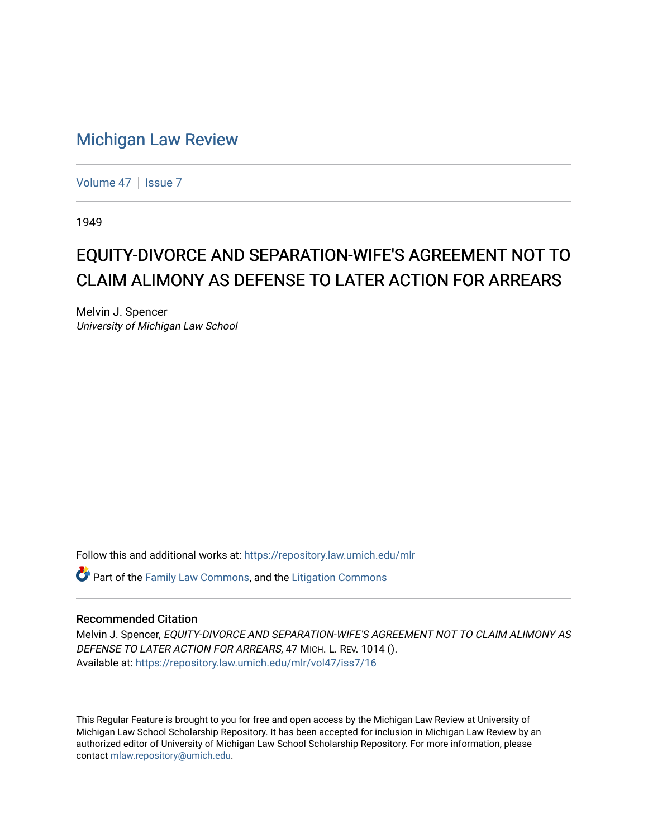## [Michigan Law Review](https://repository.law.umich.edu/mlr)

[Volume 47](https://repository.law.umich.edu/mlr/vol47) | [Issue 7](https://repository.law.umich.edu/mlr/vol47/iss7)

1949

## EQUITY-DIVORCE AND SEPARATION-WIFE'S AGREEMENT NOT TO CLAIM ALIMONY AS DEFENSE TO LATER ACTION FOR ARREARS

Melvin J. Spencer University of Michigan Law School

Follow this and additional works at: [https://repository.law.umich.edu/mlr](https://repository.law.umich.edu/mlr?utm_source=repository.law.umich.edu%2Fmlr%2Fvol47%2Fiss7%2F16&utm_medium=PDF&utm_campaign=PDFCoverPages) 

Part of the [Family Law Commons,](http://network.bepress.com/hgg/discipline/602?utm_source=repository.law.umich.edu%2Fmlr%2Fvol47%2Fiss7%2F16&utm_medium=PDF&utm_campaign=PDFCoverPages) and the [Litigation Commons](http://network.bepress.com/hgg/discipline/910?utm_source=repository.law.umich.edu%2Fmlr%2Fvol47%2Fiss7%2F16&utm_medium=PDF&utm_campaign=PDFCoverPages) 

## Recommended Citation

Melvin J. Spencer, EQUITY-DIVORCE AND SEPARATION-WIFE'S AGREEMENT NOT TO CLAIM ALIMONY AS DEFENSE TO LATER ACTION FOR ARREARS, 47 MICH. L. REV. 1014 (). Available at: [https://repository.law.umich.edu/mlr/vol47/iss7/16](https://repository.law.umich.edu/mlr/vol47/iss7/16?utm_source=repository.law.umich.edu%2Fmlr%2Fvol47%2Fiss7%2F16&utm_medium=PDF&utm_campaign=PDFCoverPages) 

This Regular Feature is brought to you for free and open access by the Michigan Law Review at University of Michigan Law School Scholarship Repository. It has been accepted for inclusion in Michigan Law Review by an authorized editor of University of Michigan Law School Scholarship Repository. For more information, please contact [mlaw.repository@umich.edu](mailto:mlaw.repository@umich.edu).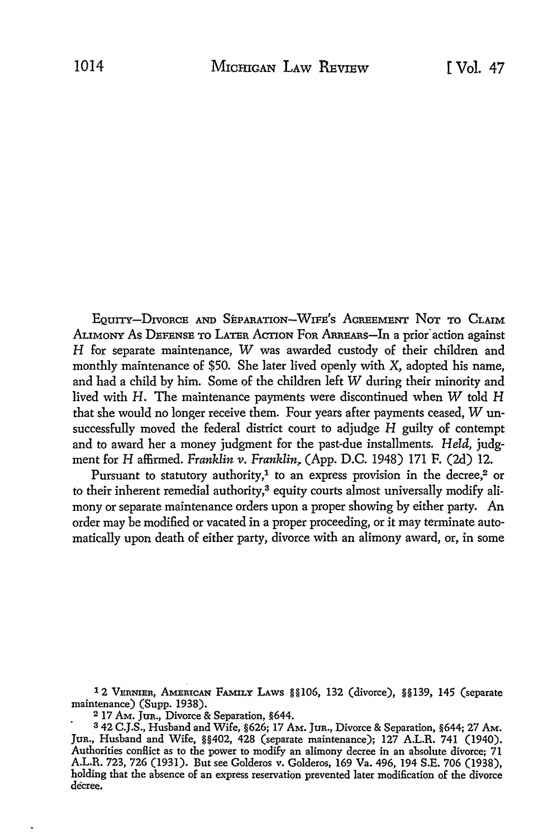EQUITY-DIVORCE AND SEPARATION-WIFE'S AGREEMENT NOT TO CLAIM ALIMONY AS DEFENSE TO LATER ACTION FOR ARREARS-In a prior action against H for separate maintenance, W was awarded custody of their children and monthly maintenance of \$50. She later lived openly with X, adopted his name, and had a child by him. Some of the children left W during their minority and lived with H. The maintenance payments were discontinued when W told H that she would no longer receive them. Four years after payments ceased, W unsuccessfully moved the federal district court to adjudge H guilty of contempt and to award her a money judgment for the past-due installments. *Held,* judgment for H affirmed. *Franklin v. Franklin~* (App. D.C. 1948) 171 F. (2d) 12.

Pursuant to statutory authority,<sup>1</sup> to an express provision in the decree,<sup>2</sup> or to their inherent remedial authority,3 equity courts almost universally modify alimony or separate maintenance orders upon a proper showing by either party. An order may be modified or vacated in a proper proceeding, or it may terminate automatically upon death of either party, divorce with an alimony award, or, in some

12 VERNIER, AMERICAN FAMILY LAWS §§106, 132 (divorce), §§139, 145 (separate maintenance) (Supp. 1938).

2 17 AM. Jun., Divorce & Separation, §644.

<sup>3 42</sup> C.J.S., Husband and Wife, §626; 17 AM. Jun., Divorce & Separation, §644; 27 AM. Jun., Husband and Wife, §§402, 428 (separate maintenance); 127 A.L.R, 741 (1940). Authorities conflict as to the power to modify an alimony decree in an absolute divorce;  $71$ A.L.R. 723, 726 (1931). But see Golderos v. Golderos, 169 Va. 496, 194 S.E. 706 (1938), holding that the absence of an express reservation prevented later modification of the divorce decree.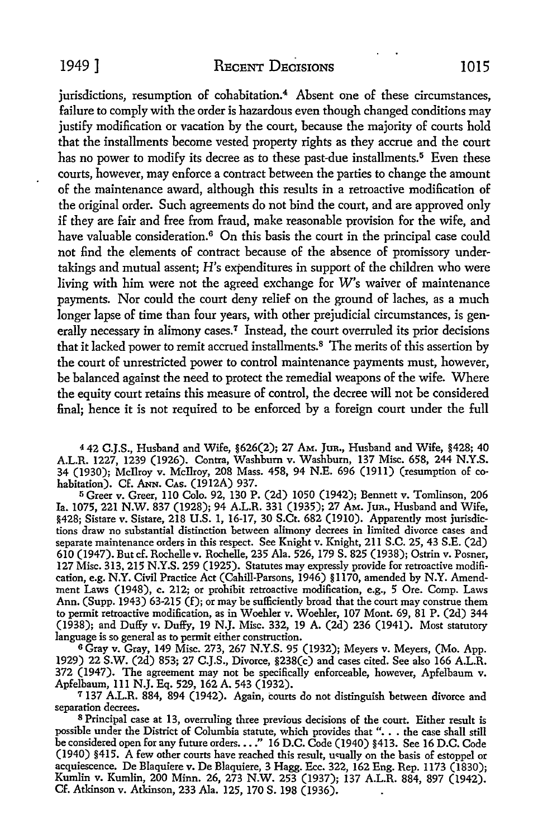jurisdictions, resumption of cohabitation.<sup>4</sup> Absent one of these circumstances, failure to comply with the order is hazardous even though changed conditions may justify modification or vacation by the court, because the majority of courts hold that the installments become vested property rights as they accrue and the court has no power to modify its decree as to these past-due installments.<sup>5</sup> Even these courts, however, may enforce a contract between the parties to change the amount of the maintenance award, although this results in a retroactive modification of the original order. Such agreements do not bind the court, and are approved only if they are fair and free from fraud, make reasonable provision for the wife, and have valuable consideration.<sup>6</sup> On this basis the court in the principal case could not find the elements of contract because of the absence of promissory undertakings and mutual assent; H's expenditures in support of the children who were living with him were not the agreed exchange for W's waiver of maintenance payments. Nor could the court deny relief on the ground of laches, as a much longer lapse of time than four years, with other prejudicial circumstances, is generally necessary in alimony cases.<sup>7</sup> Instead, the court overruled its prior decisions that it lacked power to remit accrued installments. <sup>8</sup>The merits of this assertion by the court of unrestricted power to control maintenance payments must, however, be balanced against the need to protect the remedial weapons of the wife. Where the equity court retains this measure of control, the decree will not be considered final; hence it is not required to be enforced by a foreign court under the full

<sup>4</sup>42 C.J.S., Husband and Wife, §626(2); 27 AM. Jun., Husband and Wife, §428; 40 A.L.R. 1227, 1239 (1926). Contra, Washburn v. Washburn, 137 Misc. 658, 244 N.Y.S. 34 (1930); Mcilroy v. Mcilroy, 208 Mass. 458, 94 N.E. 696 (1911) (resumption of cohabitation). Cf. ANN. CAs. (1912A) 937.

<sup>5</sup>Greer v. Greer, IIO Colo. 92, 130 P. (2d) 1050 (1942); Bennett v. Tomlinson, 206 Ia. 1075, 221 N.W. 837 (1928); 94 A.L.R. 331 (1935); 27 AM. Jun., Husband and Wife, §428; Sistare v. Sistare, 218 U.S. 1, 16-17, 30 S.Ct. 682 (1910). Apparently most jurisdictions draw no substantial distinction between alimony decrees in limited divorce cases and separate maintenance orders in this respect. See Knight v. Knight, 211 S.C. 25, 43 S.E. (2d) 610 (1947). But cf. Rochellev. Rochelle, 235 Ala. 526, 179 S. 825 (1938); Ostrin v. Posner, 127 Misc. 313, 215 N.Y.S. 259 (1925). Statutes may expressly provide for retroactive modification, e.g. N.Y. Civil Practice Act (Cahill-Parsons, 1946) §1170, amended by N.Y. Amendment Laws (1948), c. 212; or prohibit retroactive modification, e.g., 5 Ore. Comp. Laws Ann. (Supp. 1943) 63-215 (f); or may be sufficiently broad that the court may construe them to permit retroactive modification, as in Woehler v. Woehler, 107 Mont. 69, 81 P. (2d) 344 (1938); and Duffy v. Duffy, 19 N.J. Misc. 332, 19 A. (2d) 236 (1941). Most statutory language is so general as to permit either construction.

<sup>6</sup>Gray v. Gray, 149 Misc. 273, 267 N.Y.S. 95 (1932); Meyers v. Meyers, (Mo. App. 1929) 22 S.W. (2d) 853; 27 C.J.S., Divorce, §238(c) and cases cited. See also 166 A.L.R. 372 (1947). The agreement may not be specifically enforceable, however, Apfelbaum v. Apfelbaum, 111 N.J. Eq. 529, 162 A. 543 (1932).

<sup>7</sup> 137 A.L.R. 884, 894 (1942). Again, courts do not distinguish between divorce and separation decrees.

<sup>8</sup>Principal case at 13, overruling three previous decisions of the court. Either result is possible under the District of Columbia statute, which provides that ". . . the case shall still be considered open for any future orders .•.. " 16 D.C. Code (1940) §413. See 16 D.C. Code (1940) §415. A few other courts have reached this result, u<ually on the basis of estoppel or acquiescence. De Blaquiere v. De Blaquiere, 3 Hagg. Ecc. 322, 162 Eng. Rep. 1173 (1830); Kumlin v. Kumlin, 200 Minn. 26, 273 N.W. 253 (1937); 137 A.L.R. 884, 897 (1942). Cf. Atkinson v. Atkinson, 233 Ala. 125, 170 S. 198 (1936).